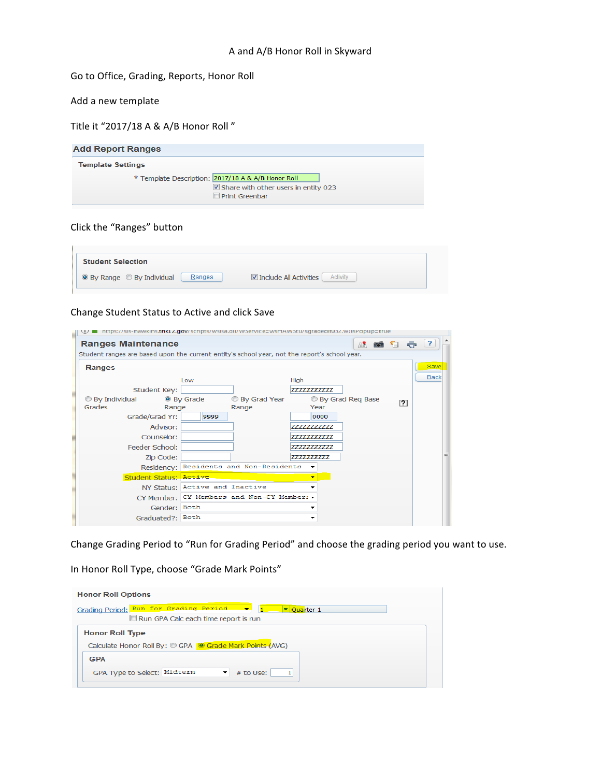## Go to Office, Grading, Reports, Honor Roll

## Add a new template

Title it "2017/18 A & A/B Honor Roll"

| <b>Add Report Ranges</b>                                                                                                        |  |  |  |  |  |
|---------------------------------------------------------------------------------------------------------------------------------|--|--|--|--|--|
| <b>Template Settings</b>                                                                                                        |  |  |  |  |  |
| * Template Description: 2017/18 A & A/B Honor Roll<br>$\boxtimes$ Share with other users in entity 023<br>$\Box$ Print Greenbar |  |  |  |  |  |

## Click the "Ranges" button

| <b>Student Selection</b>   |                                 |
|----------------------------|---------------------------------|
| ● By Range ● By Individual | <b>▼</b> Include All Activities |
| Ranges                     | Activity                        |

## Change Student Status to Active and click Save

| <b>Ranges Maintenance</b> |                                |                                                                                               |                          | A 10                    | $\mathbf{r}$   |
|---------------------------|--------------------------------|-----------------------------------------------------------------------------------------------|--------------------------|-------------------------|----------------|
|                           |                                | Student ranges are based upon the current entity's school year, not the report's school year. |                          |                         |                |
| Ranges                    |                                |                                                                                               |                          |                         | Save           |
|                           | Low                            |                                                                                               | High                     |                         | <b>Back</b>    |
|                           | Student Key:                   |                                                                                               | 77777777777              |                         |                |
| <b>By Individual</b>      | ● By Grade                     | <b>By Grad Year</b>                                                                           |                          | <b>By Grad Reg Base</b> | $\overline{2}$ |
| Grades                    | Range                          | Range                                                                                         | Year                     |                         |                |
|                           | Grade/Grad Yr:<br>9999         |                                                                                               | 0000                     |                         |                |
|                           | Advisor:                       |                                                                                               | 77777777777              |                         |                |
|                           | Counselor:                     |                                                                                               | 77777777777              |                         |                |
|                           | Feeder School:                 |                                                                                               | 77777777777              |                         |                |
|                           | Zip Code:                      |                                                                                               | 7777777777               |                         |                |
|                           |                                | Residency: Residents and Non-Residents                                                        |                          |                         |                |
|                           | Student Status: Active         |                                                                                               | $\overline{\phantom{a}}$ |                         |                |
|                           | NY Status: Active and Inactive |                                                                                               |                          |                         |                |
|                           |                                | CY Member: CY Members and Non-CY Member: v                                                    |                          |                         |                |
|                           | Gender: Both                   |                                                                                               |                          |                         |                |
|                           | Graduated?: Both               |                                                                                               |                          |                         |                |

Change Grading Period to "Run for Grading Period" and choose the grading period you want to use.

In Honor Roll Type, choose "Grade Mark Points"

| <b>Honor Roll Options</b>                                                                       |  |
|-------------------------------------------------------------------------------------------------|--|
| Grading Period: Run for Grading Period -<br>▼ Quarter 1<br>Run GPA Calc each time report is run |  |
| <b>Honor Roll Type</b><br>Calculate Honor Roll By: © GPA © Grade Mark Points (AVG)              |  |
| <b>GPA</b><br>GPA Type to Select: Midterm<br># to Use:<br>1                                     |  |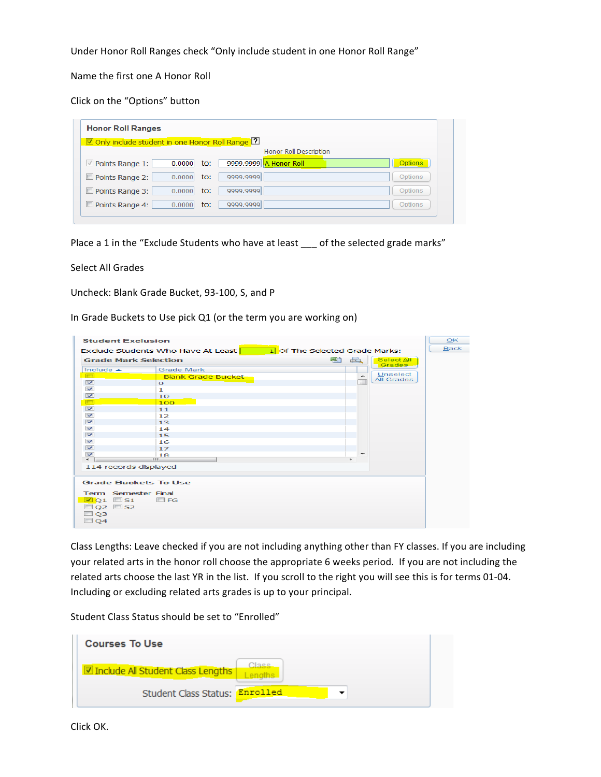Under Honor Roll Ranges check "Only include student in one Honor Roll Range"

Name the first one A Honor Roll

Click on the "Options" button

| Only include student in one Honor Roll Range [2]           |                |  |  |  |
|------------------------------------------------------------|----------------|--|--|--|
| Honor Roll Description                                     |                |  |  |  |
| 9999.9999 A Honor Roll<br>Points Range 1:<br>0.0000<br>to: | <b>Options</b> |  |  |  |
| Points Range 2:<br>9999.9999<br>0.0000<br>to:              | <b>Options</b> |  |  |  |
| Points Range 3:<br>9999.9999<br>0.0000<br>to:              | Options        |  |  |  |
| Points Range 4:<br>9999.9999<br>to:<br>0.0000              | Options        |  |  |  |

Place a 1 in the "Exclude Students who have at least \_\_\_ of the selected grade marks"

Select All Grades

Uncheck: Blank Grade Bucket, 93-100, S, and P

In Grade Buckets to Use pick Q1 (or the term you are working on)

| <b>Student Exclusion</b>                                                                                 |                           |   |                               |                        | OK          |
|----------------------------------------------------------------------------------------------------------|---------------------------|---|-------------------------------|------------------------|-------------|
| 1 Of The Selected Grade Marks:<br>Exclude Students Who Have At Least                                     |                           |   |                               |                        | <b>Back</b> |
| <b>Grade Mark Selection</b>                                                                              |                           | 편 | $\overrightarrow{a}$          | Select All<br>Grades-  |             |
| Include $\triangle$                                                                                      | <b>Grade Mark</b>         |   |                               |                        |             |
| <b>FOR</b>                                                                                               | <b>Blank Grade Bucket</b> |   | ÷                             | Unselect<br>All Grades |             |
| $\overline{\mathbf{v}}$                                                                                  | $\Omega$                  |   | $\equiv$                      |                        |             |
| $\sim$                                                                                                   | 1                         |   |                               |                        |             |
| $\overline{\mathbf{v}}$                                                                                  | 10                        |   |                               |                        |             |
| $\blacksquare$                                                                                           | 100                       |   |                               |                        |             |
| $\overline{\mathbf{v}}$                                                                                  | 11                        |   |                               |                        |             |
| $\overline{\mathbf{v}}$                                                                                  | 12                        |   |                               |                        |             |
| $\overline{\mathbf{v}}$                                                                                  | 13                        |   |                               |                        |             |
| $\overline{\mathbf{v}}$                                                                                  | 14                        |   |                               |                        |             |
| $\overline{\mathbf{v}}$                                                                                  | 15                        |   |                               |                        |             |
| $\overline{\mathbf{v}}$                                                                                  | 16                        |   |                               |                        |             |
| $\triangledown$                                                                                          | 17                        |   |                               |                        |             |
| $\overline{\mathbf{v}}$<br>$\blacktriangleleft$                                                          | 18<br>m                   |   | $\overline{\phantom{a}}$<br>٠ |                        |             |
| 114 records displayed                                                                                    |                           |   |                               |                        |             |
|                                                                                                          |                           |   |                               |                        |             |
| <b>Grade Buckets To Use</b>                                                                              |                           |   |                               |                        |             |
| Term Semester Final<br>$\boxdot$ Q1 $\Box$ S1<br>$\Box$ Q2 $\Box$ S2<br>Q <sub>3</sub><br>Q <sub>4</sub> | $\Box$ FG                 |   |                               |                        |             |

Class Lengths: Leave checked if you are not including anything other than FY classes. If you are including your related arts in the honor roll choose the appropriate 6 weeks period. If you are not including the related arts choose the last YR in the list. If you scroll to the right you will see this is for terms 01-04. Including or excluding related arts grades is up to your principal.

Student Class Status should be set to "Enrolled"

| <b>Courses To Use</b>             |
|-----------------------------------|
| Include All Student Class Lengths |
| Student Class Status: Enrolled    |